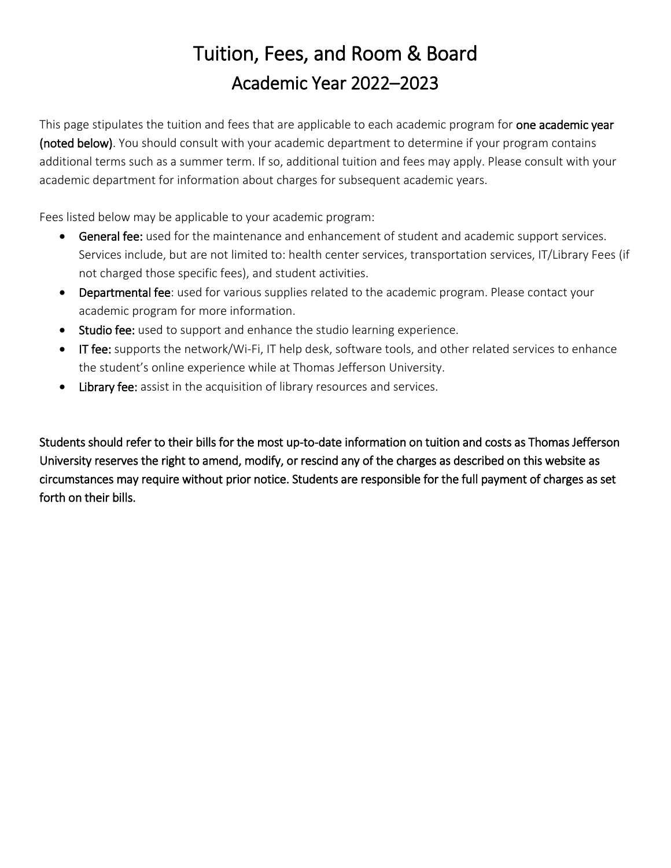# Tuition, Fees, and Room & Board Academic Year 2022–2023

This page stipulates the tuition and fees that are applicable to each academic program for one academic year (noted below). You should consult with your academic department to determine if your program contains additional terms such as a summer term. If so, additional tuition and fees may apply. Please consult with your academic department for information about charges for subsequent academic years.

Fees listed below may be applicable to your academic program:

- **General fee:** used for the maintenance and enhancement of student and academic support services. Services include, but are not limited to: health center services, transportation services, IT/Library Fees (if not charged those specific fees), and student activities.
- Departmental fee: used for various supplies related to the academic program. Please contact your academic program for more information.
- Studio fee: used to support and enhance the studio learning experience.
- IT fee: supports the network/Wi-Fi, IT help desk, software tools, and other related services to enhance the student's online experience while at Thomas Jefferson University.
- Library fee: assist in the acquisition of library resources and services.

Students should refer to their bills for the most up-to-date information on tuition and costs as Thomas Jefferson University reserves the right to amend, modify, or rescind any of the charges as described on this website as circumstances may require without prior notice. Students are responsible for the full payment of charges as set forth on their bills.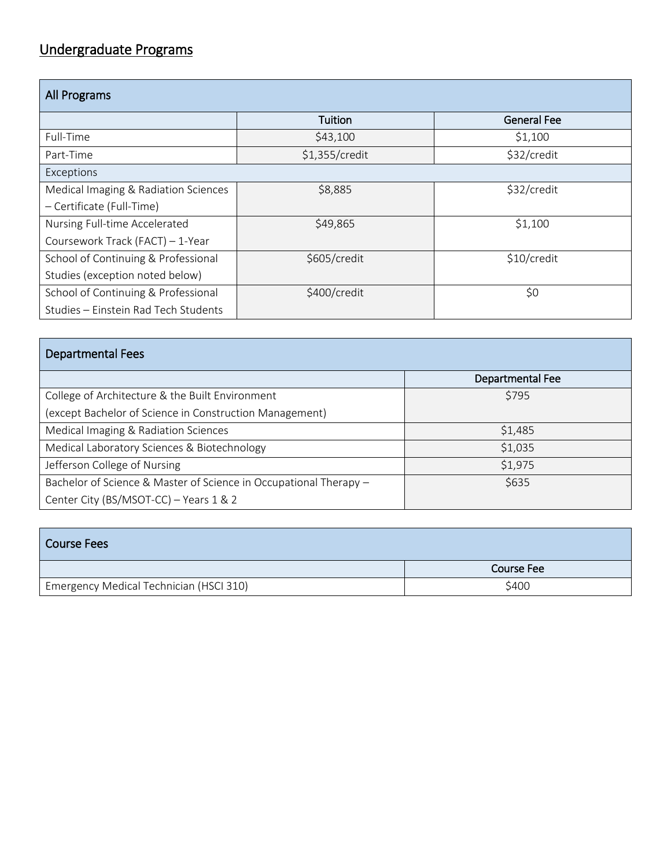### Undergraduate Programs

| All Programs                         |                |                    |  |
|--------------------------------------|----------------|--------------------|--|
|                                      | Tuition        | <b>General Fee</b> |  |
| Full-Time                            | \$43,100       | \$1,100            |  |
| Part-Time                            | \$1,355/credit | \$32/credit        |  |
| Exceptions                           |                |                    |  |
| Medical Imaging & Radiation Sciences | \$8,885        | \$32/credit        |  |
| - Certificate (Full-Time)            |                |                    |  |
| Nursing Full-time Accelerated        | \$49,865       | \$1,100            |  |
| Coursework Track (FACT) - 1-Year     |                |                    |  |
| School of Continuing & Professional  | \$605/credit   | \$10/credit        |  |
| Studies (exception noted below)      |                |                    |  |
| School of Continuing & Professional  | \$400/credit   | \$0                |  |
| Studies - Einstein Rad Tech Students |                |                    |  |

| <b>Departmental Fees</b>                                          |                  |
|-------------------------------------------------------------------|------------------|
|                                                                   | Departmental Fee |
| College of Architecture & the Built Environment                   | \$795            |
| (except Bachelor of Science in Construction Management)           |                  |
| Medical Imaging & Radiation Sciences                              | \$1,485          |
| Medical Laboratory Sciences & Biotechnology                       | \$1,035          |
| Jefferson College of Nursing                                      | \$1,975          |
| Bachelor of Science & Master of Science in Occupational Therapy - | \$635            |
| Center City (BS/MSOT-CC) - Years 1 & 2                            |                  |

| <b>Course Fees</b>                      |                   |
|-----------------------------------------|-------------------|
|                                         | <b>Course Fee</b> |
| Emergency Medical Technician (HSCI 310) | \$400             |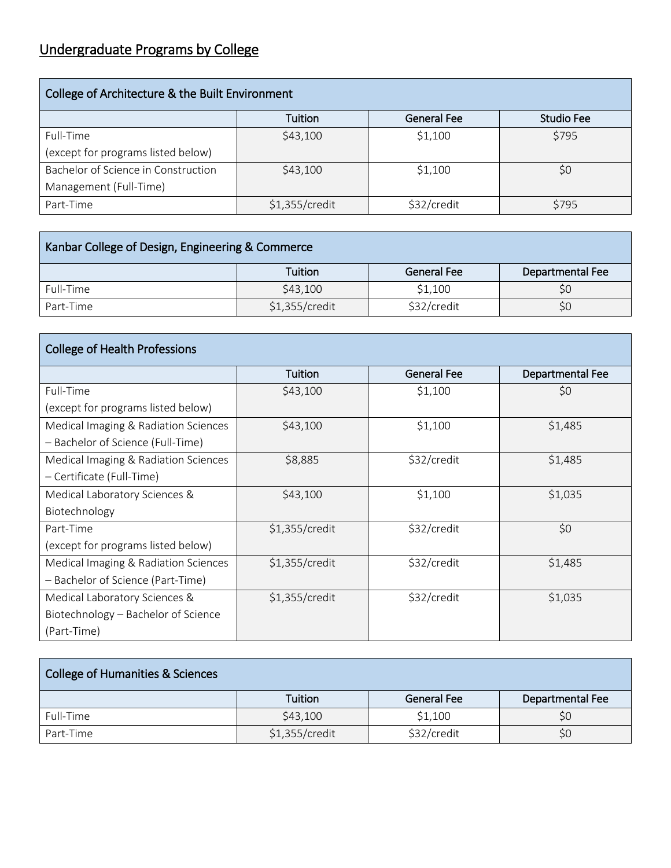## Undergraduate Programs by College

| College of Architecture & the Built Environment |                |                    |            |
|-------------------------------------------------|----------------|--------------------|------------|
|                                                 | Tuition        | <b>General Fee</b> | Studio Fee |
| Full-Time                                       | \$43,100       | \$1,100            | \$795      |
| (except for programs listed below)              |                |                    |            |
| Bachelor of Science in Construction             | \$43,100       | \$1,100            | \$0        |
| Management (Full-Time)                          |                |                    |            |
| Part-Time                                       | \$1,355/credit | \$32/credit        | \$795      |

| Kanbar College of Design, Engineering & Commerce |                  |             |                  |
|--------------------------------------------------|------------------|-------------|------------------|
|                                                  | Tuition          | General Fee | Departmental Fee |
| Full-Time                                        | \$43,100         | \$1,100     | \$0              |
| Part-Time                                        | $$1,355/c$ redit | \$32/credit | S0               |

| <b>College of Health Professions</b> |                |                    |                  |
|--------------------------------------|----------------|--------------------|------------------|
|                                      | Tuition        | <b>General Fee</b> | Departmental Fee |
| Full-Time                            | \$43,100       | \$1,100            | \$0              |
| (except for programs listed below)   |                |                    |                  |
| Medical Imaging & Radiation Sciences | \$43,100       | \$1,100            | \$1,485          |
| - Bachelor of Science (Full-Time)    |                |                    |                  |
| Medical Imaging & Radiation Sciences | \$8,885        | \$32/credit        | \$1,485          |
| - Certificate (Full-Time)            |                |                    |                  |
| Medical Laboratory Sciences &        | \$43,100       | \$1,100            | \$1,035          |
| Biotechnology                        |                |                    |                  |
| Part-Time                            | \$1,355/credit | \$32/credit        | \$0              |
| (except for programs listed below)   |                |                    |                  |
| Medical Imaging & Radiation Sciences | \$1,355/credit | \$32/credit        | \$1,485          |
| - Bachelor of Science (Part-Time)    |                |                    |                  |
| Medical Laboratory Sciences &        | \$1,355/credit | \$32/credit        | \$1,035          |
| Biotechnology - Bachelor of Science  |                |                    |                  |
| (Part-Time)                          |                |                    |                  |

| <b>College of Humanities &amp; Sciences</b> |                |                    |                  |
|---------------------------------------------|----------------|--------------------|------------------|
|                                             | Tuition        | <b>General Fee</b> | Departmental Fee |
| Full-Time                                   | \$43,100       | \$1,100            | \$0              |
| Part-Time                                   | \$1,355/credit | \$32/credit        | \$0              |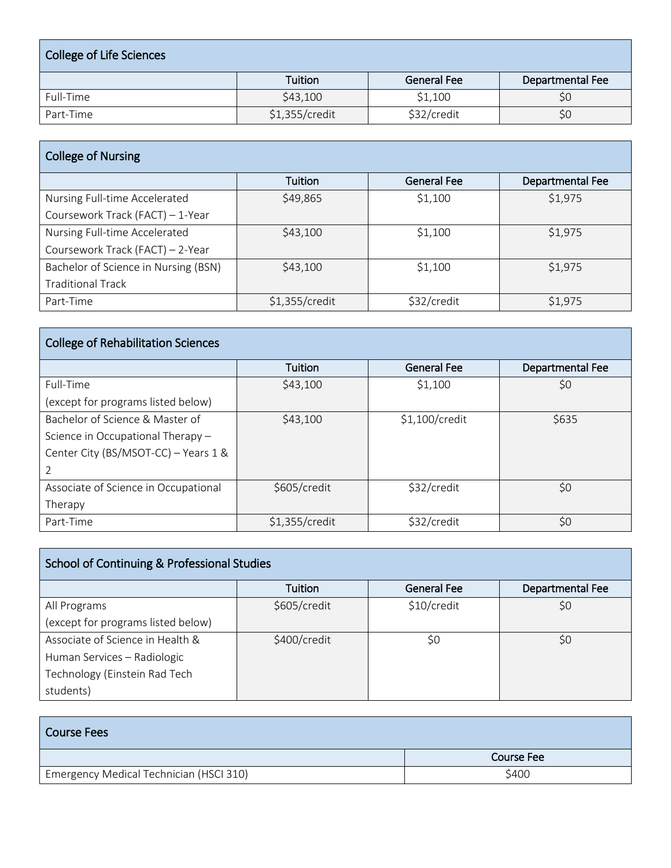| College of Life Sciences |                |                    |                  |
|--------------------------|----------------|--------------------|------------------|
|                          | <b>Tuition</b> | <b>General Fee</b> | Departmental Fee |
| Full-Time                | \$43,100       | \$1,100            | \$0              |
| Part-Time                | \$1,355/credit | \$32/credit        | \$0              |

| <b>College of Nursing</b>            |                |                    |                  |
|--------------------------------------|----------------|--------------------|------------------|
|                                      | Tuition        | <b>General Fee</b> | Departmental Fee |
| Nursing Full-time Accelerated        | \$49,865       | \$1,100            | \$1,975          |
| Coursework Track (FACT) - 1-Year     |                |                    |                  |
| Nursing Full-time Accelerated        | \$43,100       | \$1,100            | \$1,975          |
| Coursework Track (FACT) - 2-Year     |                |                    |                  |
| Bachelor of Science in Nursing (BSN) | \$43,100       | \$1,100            | \$1,975          |
| <b>Traditional Track</b>             |                |                    |                  |
| Part-Time                            | \$1,355/credit | \$32/credit        | \$1,975          |

| <b>College of Rehabilitation Sciences</b> |                |                    |                  |
|-------------------------------------------|----------------|--------------------|------------------|
|                                           | <b>Tuition</b> | <b>General Fee</b> | Departmental Fee |
| Full-Time                                 | \$43,100       | \$1,100            | \$0              |
| (except for programs listed below)        |                |                    |                  |
| Bachelor of Science & Master of           | \$43,100       | \$1,100/credit     | \$635            |
| Science in Occupational Therapy -         |                |                    |                  |
| Center City (BS/MSOT-CC) - Years 1 &      |                |                    |                  |
|                                           |                |                    |                  |
| Associate of Science in Occupational      | \$605/credit   | \$32/credit        | \$0              |
| Therapy                                   |                |                    |                  |
| Part-Time                                 | \$1,355/credit | \$32/credit        | \$0              |

| School of Continuing & Professional Studies |                |                    |                  |
|---------------------------------------------|----------------|--------------------|------------------|
|                                             | <b>Tuition</b> | <b>General Fee</b> | Departmental Fee |
| All Programs                                | \$605/credit   | \$10/credit        | \$0              |
| (except for programs listed below)          |                |                    |                  |
| Associate of Science in Health &            | \$400/credit   | \$0                | \$0              |
| Human Services - Radiologic                 |                |                    |                  |
| Technology (Einstein Rad Tech               |                |                    |                  |
| students)                                   |                |                    |                  |

| <b>Course Fees</b>                      |                   |
|-----------------------------------------|-------------------|
|                                         | <b>Course Fee</b> |
| Emergency Medical Technician (HSCI 310) | \$400             |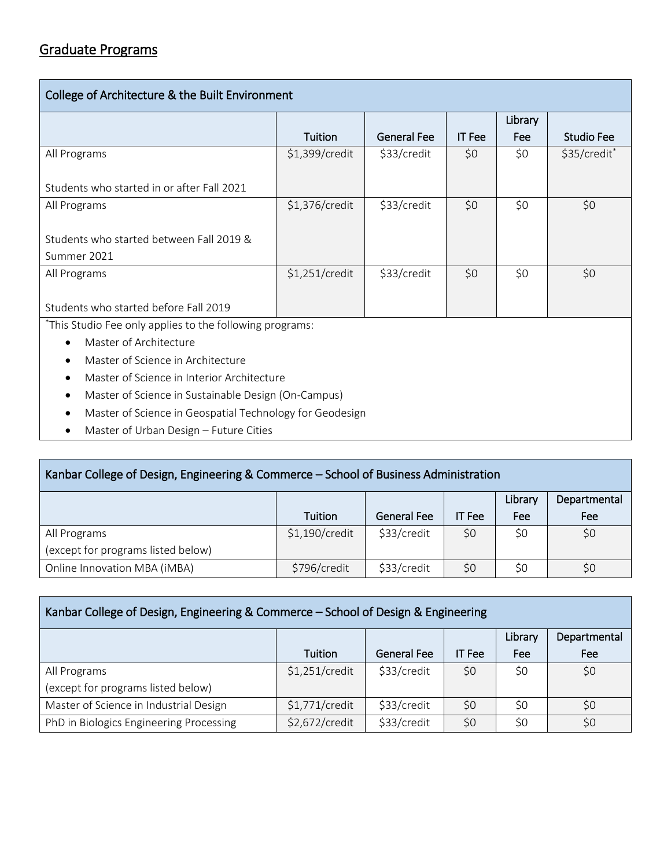| College of Architecture & the Built Environment          |                |                    |               |         |              |  |  |  |
|----------------------------------------------------------|----------------|--------------------|---------------|---------|--------------|--|--|--|
|                                                          |                |                    |               | Library |              |  |  |  |
|                                                          | Tuition        | <b>General Fee</b> | <b>IT</b> Fee | Fee     | Studio Fee   |  |  |  |
| All Programs                                             | \$1,399/credit | \$33/credit        | \$0           | \$0     | \$35/credit* |  |  |  |
| Students who started in or after Fall 2021               |                |                    |               |         |              |  |  |  |
| All Programs                                             | \$1,376/credit | \$33/credit        | \$0           | \$0     | \$0          |  |  |  |
| Students who started between Fall 2019 &                 |                |                    |               |         |              |  |  |  |
| Summer 2021                                              |                |                    |               |         |              |  |  |  |
| All Programs                                             | \$1,251/credit | \$33/credit        | \$0           | \$0     | \$0          |  |  |  |
|                                                          |                |                    |               |         |              |  |  |  |
| Students who started before Fall 2019                    |                |                    |               |         |              |  |  |  |
| *This Studio Fee only applies to the following programs: |                |                    |               |         |              |  |  |  |
| Master of Architecture<br>$\bullet$                      |                |                    |               |         |              |  |  |  |

- Master of Science in Architecture
- Master of Science in Interior Architecture
- Master of Science in Sustainable Design (On-Campus)
- Master of Science in Geospatial Technology for Geodesign
- Master of Urban Design Future Cities

| Kanbar College of Design, Engineering & Commerce – School of Business Administration |                |                    |        |         |              |  |
|--------------------------------------------------------------------------------------|----------------|--------------------|--------|---------|--------------|--|
|                                                                                      |                |                    |        | Library | Departmental |  |
|                                                                                      | Tuition        | <b>General Fee</b> | IT Fee | Fee     | Fee          |  |
| All Programs                                                                         | \$1,190/credit | \$33/credit        | \$0    | \$0     | \$0          |  |
| (except for programs listed below)                                                   |                |                    |        |         |              |  |
| Online Innovation MBA (iMBA)                                                         | \$796/credit   | \$33/credit        | \$0    | S0      | \$0          |  |

| Kanbar College of Design, Engineering & Commerce - School of Design & Engineering |                |                    |               |         |              |  |  |
|-----------------------------------------------------------------------------------|----------------|--------------------|---------------|---------|--------------|--|--|
|                                                                                   |                |                    |               | Library | Departmental |  |  |
|                                                                                   | Tuition        | <b>General Fee</b> | <b>IT</b> Fee | Fee     | Fee          |  |  |
| All Programs                                                                      | \$1,251/credit | \$33/credit        | \$0           | \$0     | \$0          |  |  |
| (except for programs listed below)                                                |                |                    |               |         |              |  |  |
| Master of Science in Industrial Design                                            | \$1,771/credit | \$33/credit        | \$0           | S0      | SO           |  |  |
| PhD in Biologics Engineering Processing                                           | \$2,672/credit | \$33/credit        | \$0           | \$0     | \$0          |  |  |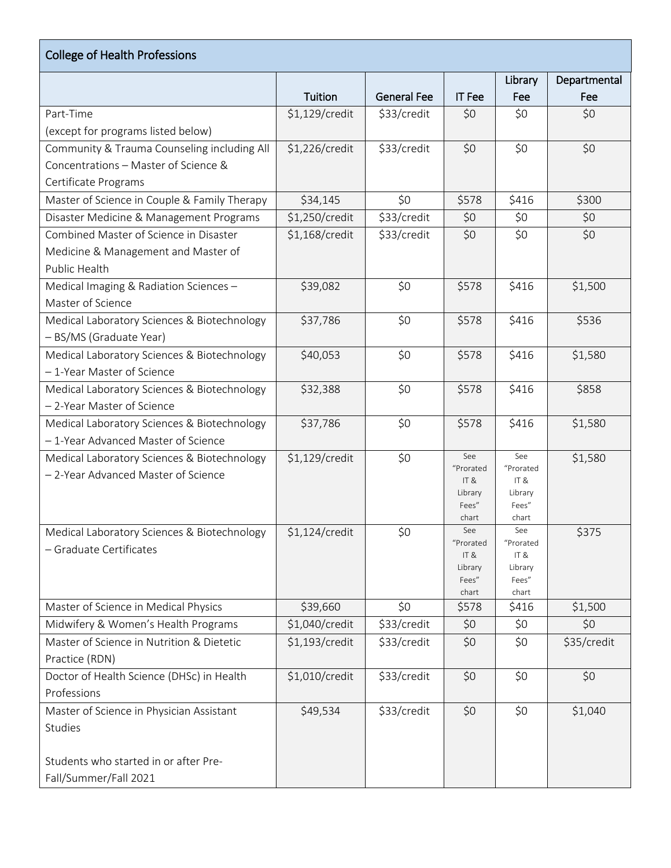| <b>College of Health Professions</b>         |                |                    |                  |                  |              |
|----------------------------------------------|----------------|--------------------|------------------|------------------|--------------|
|                                              |                |                    |                  | Library          | Departmental |
|                                              | Tuition        | <b>General Fee</b> | <b>IT Fee</b>    | Fee              | Fee          |
| Part-Time                                    | \$1,129/credit | \$33/credit        | \$0              | \$0              | \$0          |
| (except for programs listed below)           |                |                    |                  |                  |              |
| Community & Trauma Counseling including All  | \$1,226/credit | \$33/credit        | \$0              | \$0              | \$0          |
| Concentrations - Master of Science &         |                |                    |                  |                  |              |
| Certificate Programs                         |                |                    |                  |                  |              |
| Master of Science in Couple & Family Therapy | \$34,145       | \$0                | \$578            | \$416            | \$300        |
| Disaster Medicine & Management Programs      | \$1,250/credit | \$33/credit        | \$0              | \$0              | \$0          |
| Combined Master of Science in Disaster       | \$1,168/credit | \$33/credit        | \$0              | \$0              | \$0          |
| Medicine & Management and Master of          |                |                    |                  |                  |              |
| Public Health                                |                |                    |                  |                  |              |
| Medical Imaging & Radiation Sciences -       | \$39,082       | \$0                | \$578            | \$416            | \$1,500      |
| Master of Science                            |                |                    |                  |                  |              |
| Medical Laboratory Sciences & Biotechnology  | \$37,786       | \$0                | \$578            | \$416            | \$536        |
| - BS/MS (Graduate Year)                      |                |                    |                  |                  |              |
| Medical Laboratory Sciences & Biotechnology  | \$40,053       | \$0                | \$578            | \$416            | \$1,580      |
| - 1-Year Master of Science                   |                |                    |                  |                  |              |
| Medical Laboratory Sciences & Biotechnology  | \$32,388       | \$0                | \$578            | \$416            | \$858        |
| - 2-Year Master of Science                   |                |                    |                  |                  |              |
| Medical Laboratory Sciences & Biotechnology  | \$37,786       | \$0                | \$578            | \$416            | \$1,580      |
| - 1-Year Advanced Master of Science          |                |                    |                  |                  |              |
| Medical Laboratory Sciences & Biotechnology  | \$1,129/credit | \$0                | See              | See              | \$1,580      |
| -2-Year Advanced Master of Science           |                |                    | "Prorated<br>IT& | "Prorated<br>IT& |              |
|                                              |                |                    | Library          | Library          |              |
|                                              |                |                    | Fees"            | Fees"            |              |
|                                              |                |                    | chart<br>See     | chart<br>See     |              |
| Medical Laboratory Sciences & Biotechnology  | \$1,124/credit | \$0                | "Prorated        | "Prorated        | \$375        |
| - Graduate Certificates                      |                |                    | IT&              | IT &             |              |
|                                              |                |                    | Library<br>Fees" | Library<br>Fees" |              |
|                                              |                |                    | chart            | chart            |              |
| Master of Science in Medical Physics         | \$39,660       | \$0                | \$578            | \$416            | \$1,500      |
| Midwifery & Women's Health Programs          | \$1,040/credit | \$33/credit        | \$0              | \$0              | \$0          |
| Master of Science in Nutrition & Dietetic    | \$1,193/credit | \$33/credit        | \$0              | \$0              | \$35/credit  |
| Practice (RDN)                               |                |                    |                  |                  |              |
| Doctor of Health Science (DHSc) in Health    | \$1,010/credit | \$33/credit        | \$0              | \$0              | \$0          |
| Professions                                  |                |                    |                  |                  |              |
| Master of Science in Physician Assistant     | \$49,534       | \$33/credit        | \$0              | \$0              | \$1,040      |
| Studies                                      |                |                    |                  |                  |              |
|                                              |                |                    |                  |                  |              |
| Students who started in or after Pre-        |                |                    |                  |                  |              |
| Fall/Summer/Fall 2021                        |                |                    |                  |                  |              |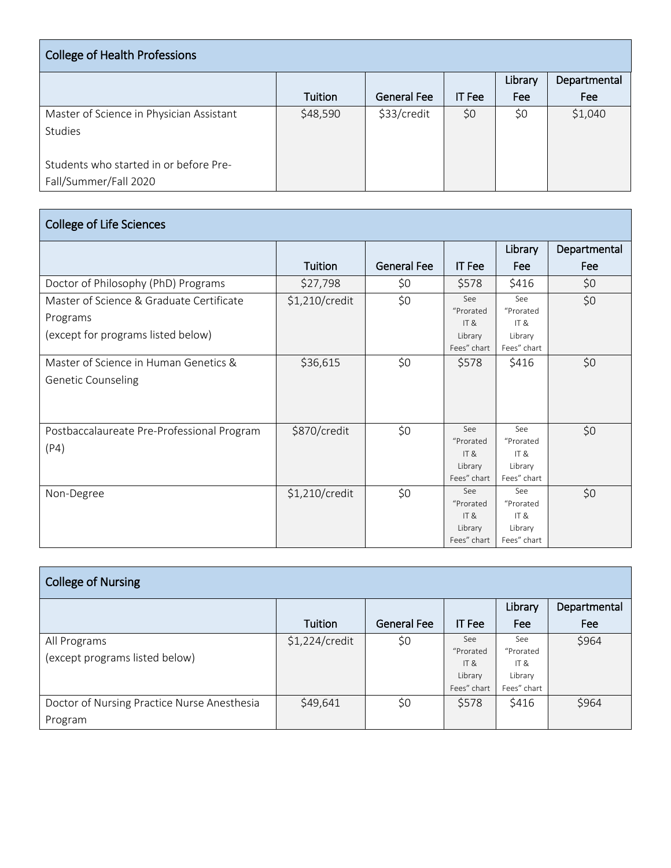| <b>College of Health Professions</b>     |          |                    |               |         |              |  |  |
|------------------------------------------|----------|--------------------|---------------|---------|--------------|--|--|
|                                          |          |                    |               | Library | Departmental |  |  |
|                                          | Tuition  | <b>General Fee</b> | <b>IT</b> Fee | Fee     | Fee          |  |  |
| Master of Science in Physician Assistant | \$48,590 | \$33/credit        | \$0           | \$0     | \$1,040      |  |  |
| <b>Studies</b>                           |          |                    |               |         |              |  |  |
|                                          |          |                    |               |         |              |  |  |
| Students who started in or before Pre-   |          |                    |               |         |              |  |  |
| Fall/Summer/Fall 2020                    |          |                    |               |         |              |  |  |

| <b>College of Life Sciences</b>                                                            |                |                    |                                                               |                                                               |              |  |  |  |
|--------------------------------------------------------------------------------------------|----------------|--------------------|---------------------------------------------------------------|---------------------------------------------------------------|--------------|--|--|--|
|                                                                                            |                |                    |                                                               | Library                                                       | Departmental |  |  |  |
|                                                                                            | Tuition        | <b>General Fee</b> | <b>IT</b> Fee                                                 | Fee                                                           | Fee          |  |  |  |
| Doctor of Philosophy (PhD) Programs                                                        | \$27,798       | \$0                | \$578                                                         | \$416                                                         | \$0          |  |  |  |
| Master of Science & Graduate Certificate<br>Programs<br>(except for programs listed below) | \$1,210/credit | \$0                | See<br>"Prorated<br>IT <sub>8</sub><br>Library<br>Fees" chart | See<br>"Prorated<br>IT <sub>8</sub><br>Library<br>Fees" chart | \$0          |  |  |  |
| Master of Science in Human Genetics &<br><b>Genetic Counseling</b>                         | \$36,615       | \$0                | \$578                                                         | \$416                                                         | \$0          |  |  |  |
| Postbaccalaureate Pre-Professional Program<br>(P4)                                         | \$870/credit   | \$0                | See<br>"Prorated<br>IT <sub>8</sub><br>Library<br>Fees" chart | See<br>"Prorated<br>IT $8$<br>Library<br>Fees" chart          | \$0          |  |  |  |
| Non-Degree                                                                                 | \$1,210/credit | \$0                | See<br>"Prorated<br>IT <sub>8</sub><br>Library<br>Fees" chart | See<br>"Prorated<br>IT $8$<br>Library<br>Fees" chart          | \$0          |  |  |  |

| <b>College of Nursing</b>                   |                |                    |               |             |              |  |  |  |
|---------------------------------------------|----------------|--------------------|---------------|-------------|--------------|--|--|--|
|                                             |                |                    |               | Library     | Departmental |  |  |  |
|                                             | Tuition        | <b>General Fee</b> | <b>IT</b> Fee | Fee         | Fee          |  |  |  |
| All Programs                                | \$1,224/credit | \$0                | See           | See         | \$964        |  |  |  |
| (except programs listed below)              |                |                    | "Prorated     | "Prorated   |              |  |  |  |
|                                             |                |                    | IT &          | IT&         |              |  |  |  |
|                                             |                |                    | Library       | Library     |              |  |  |  |
|                                             |                |                    | Fees" chart   | Fees" chart |              |  |  |  |
| Doctor of Nursing Practice Nurse Anesthesia | \$49,641       | \$0                | \$578         | \$416       | \$964        |  |  |  |
| Program                                     |                |                    |               |             |              |  |  |  |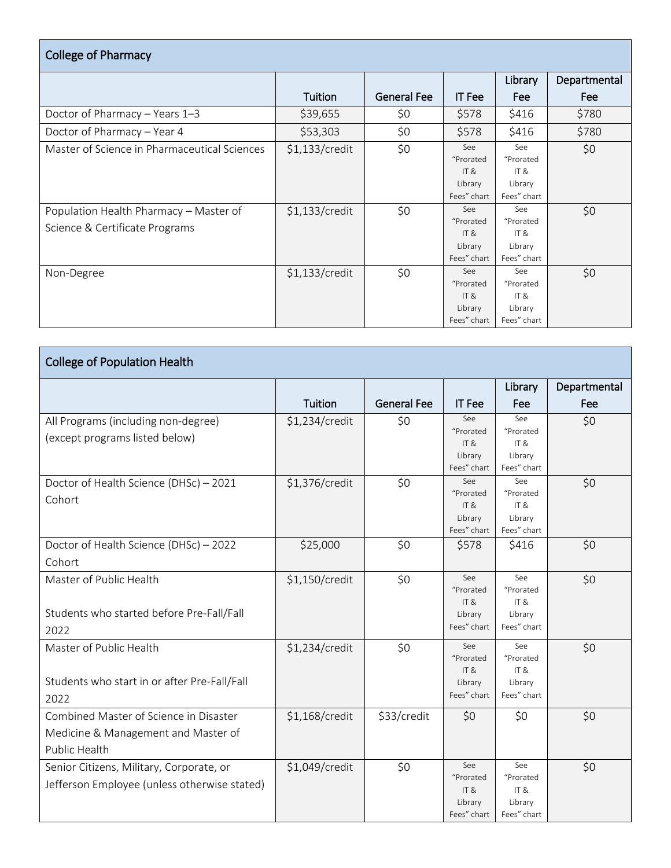| <b>College of Pharmacy</b>                                                                                               |                                  |                    |                                                                                                         |                                                                                                        |              |  |  |  |  |
|--------------------------------------------------------------------------------------------------------------------------|----------------------------------|--------------------|---------------------------------------------------------------------------------------------------------|--------------------------------------------------------------------------------------------------------|--------------|--|--|--|--|
|                                                                                                                          |                                  |                    |                                                                                                         | Library                                                                                                | Departmental |  |  |  |  |
|                                                                                                                          | Tuition                          | <b>General Fee</b> | <b>IT</b> Fee                                                                                           | Fee                                                                                                    | Fee          |  |  |  |  |
| Doctor of Pharmacy - Years 1-3                                                                                           | \$39,655                         | \$0                | \$578                                                                                                   | \$416                                                                                                  | \$780        |  |  |  |  |
| Doctor of Pharmacy - Year 4                                                                                              | \$53,303                         | \$0                | \$578                                                                                                   | \$416                                                                                                  | \$780        |  |  |  |  |
| Master of Science in Pharmaceutical Sciences<br>Population Health Pharmacy - Master of<br>Science & Certificate Programs | \$1,133/credit<br>\$1,133/credit | \$0<br>\$0         | See<br>"Prorated<br>IT <sub>8</sub><br>Library<br>Fees" chart<br>See<br>"Prorated<br>IT $\&$<br>Library | See<br>"Prorated<br><b>IT &amp;</b><br>Library<br>Fees" chart<br>See<br>"Prorated<br>IT $8$<br>Library | \$0<br>\$0   |  |  |  |  |
|                                                                                                                          |                                  |                    | Fees" chart                                                                                             | Fees" chart                                                                                            |              |  |  |  |  |
| Non-Degree                                                                                                               | \$1,133/credit                   | \$0                | <b>See</b><br>"Prorated<br>IT <sub>8</sub><br>Library<br>Fees" chart                                    | See<br>"Prorated<br>IT $8$<br>Library<br>Fees" chart                                                   | \$0          |  |  |  |  |

| <b>College of Population Health</b>                                                            |                |                    |                                                    |                                                      |              |
|------------------------------------------------------------------------------------------------|----------------|--------------------|----------------------------------------------------|------------------------------------------------------|--------------|
|                                                                                                |                |                    |                                                    | Library                                              | Departmental |
|                                                                                                | Tuition        | <b>General Fee</b> | <b>IT</b> Fee                                      | Fee                                                  | Fee          |
| All Programs (including non-degree)<br>(except programs listed below)                          | \$1,234/credit | \$0                | See<br>"Prorated<br>IT&<br>Library<br>Fees" chart  | See<br>"Prorated<br>IT $8$<br>Library<br>Fees" chart | \$0          |
| Doctor of Health Science (DHSc) - 2021<br>Cohort                                               | \$1,376/credit | \$0                | See<br>"Prorated<br>IT&<br>Library<br>Fees" chart  | See<br>"Prorated<br>IT&<br>Library<br>Fees" chart    | \$0          |
| Doctor of Health Science (DHSc) - 2022<br>Cohort                                               | \$25,000       | \$0                | \$578                                              | \$416                                                | \$0          |
| Master of Public Health<br>Students who started before Pre-Fall/Fall<br>2022                   | \$1,150/credit | \$0                | See<br>"Prorated<br>IT&<br>Library<br>Fees" chart  | See<br>"Prorated<br>IT&<br>Library<br>Fees" chart    | \$0          |
| Master of Public Health<br>Students who start in or after Pre-Fall/Fall<br>2022                | \$1,234/credit | \$0                | See<br>"Prorated<br>IT &<br>Library<br>Fees" chart | See<br>"Prorated<br>IT&<br>Library<br>Fees" chart    | \$0          |
| Combined Master of Science in Disaster<br>Medicine & Management and Master of<br>Public Health | \$1,168/credit | \$33/credit        | \$0                                                | \$0                                                  | \$0          |
| Senior Citizens, Military, Corporate, or<br>Jefferson Employee (unless otherwise stated)       | \$1,049/credit | \$0                | See<br>"Prorated<br>IT&<br>Library<br>Fees" chart  | See<br>"Prorated<br>IT&<br>Library<br>Fees" chart    | \$0          |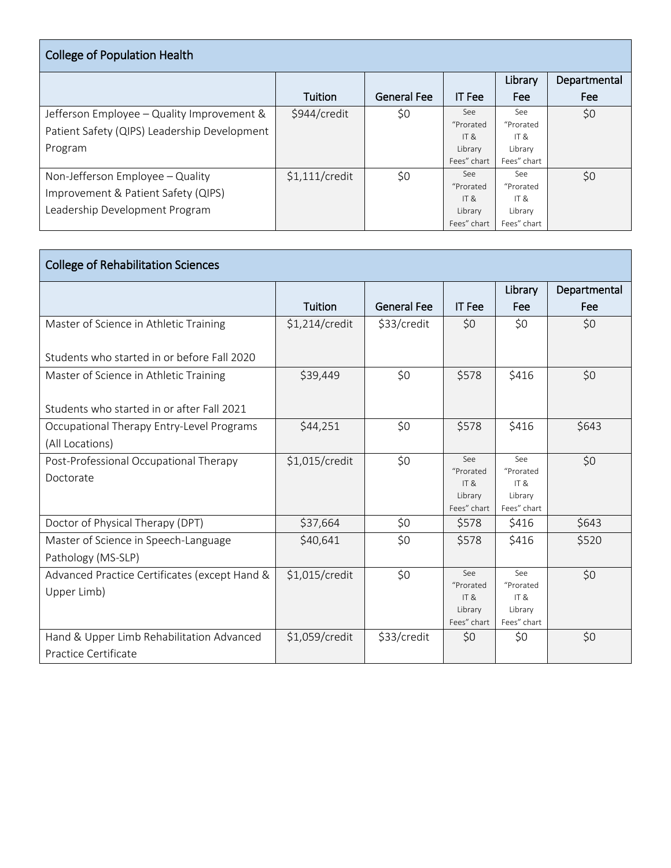| <b>College of Population Health</b>          |                  |                    |               |             |              |  |  |  |  |
|----------------------------------------------|------------------|--------------------|---------------|-------------|--------------|--|--|--|--|
|                                              |                  |                    |               | Library     | Departmental |  |  |  |  |
|                                              | Tuition          | <b>General Fee</b> | <b>IT</b> Fee | Fee         | Fee          |  |  |  |  |
| Jefferson Employee – Quality Improvement &   | \$944/credit     | \$0                | See           | See         | \$0          |  |  |  |  |
| Patient Safety (QIPS) Leadership Development |                  |                    | "Prorated     | "Prorated   |              |  |  |  |  |
|                                              |                  |                    | IT $8$        | IT&         |              |  |  |  |  |
| Program                                      |                  |                    | Library       | Library     |              |  |  |  |  |
|                                              |                  |                    | Fees" chart   | Fees" chart |              |  |  |  |  |
| Non-Jefferson Employee - Quality             | $$1,111/$ credit | \$0                | See:          | See         | \$0          |  |  |  |  |
| Improvement & Patient Safety (QIPS)          |                  |                    | "Prorated     | "Prorated   |              |  |  |  |  |
|                                              |                  |                    | IT &          | IT $8$      |              |  |  |  |  |
| Leadership Development Program               |                  |                    | Library       | Library     |              |  |  |  |  |
|                                              |                  |                    | Fees" chart   | Fees" chart |              |  |  |  |  |

| <b>College of Rehabilitation Sciences</b>     |                |                    |                  |                              |              |  |  |  |
|-----------------------------------------------|----------------|--------------------|------------------|------------------------------|--------------|--|--|--|
|                                               |                |                    |                  | Library                      | Departmental |  |  |  |
|                                               | Tuition        | <b>General Fee</b> | <b>IT Fee</b>    | Fee                          | Fee          |  |  |  |
| Master of Science in Athletic Training        | \$1,214/credit | \$33/credit        | \$0              | \$0                          | \$0          |  |  |  |
| Students who started in or before Fall 2020   |                |                    |                  |                              |              |  |  |  |
|                                               |                |                    |                  |                              |              |  |  |  |
| Master of Science in Athletic Training        | \$39,449       | \$0                | \$578            | \$416                        | \$0          |  |  |  |
| Students who started in or after Fall 2021    |                |                    |                  |                              |              |  |  |  |
| Occupational Therapy Entry-Level Programs     | \$44,251       | \$0                | \$578            | \$416                        | \$643        |  |  |  |
| (All Locations)                               |                |                    |                  |                              |              |  |  |  |
| Post-Professional Occupational Therapy        | \$1,015/credit | \$0                | See              | See                          | \$0          |  |  |  |
| Doctorate                                     |                |                    | "Prorated<br>IT& | "Prorated<br>ITR             |              |  |  |  |
|                                               |                |                    | Library          | Library                      |              |  |  |  |
|                                               |                |                    | Fees" chart      | Fees" chart                  |              |  |  |  |
| Doctor of Physical Therapy (DPT)              | \$37,664       | \$0                | \$578            | \$416                        | \$643        |  |  |  |
| Master of Science in Speech-Language          | \$40,641       | \$0                | \$578            | \$416                        | \$520        |  |  |  |
| Pathology (MS-SLP)                            |                |                    |                  |                              |              |  |  |  |
| Advanced Practice Certificates (except Hand & | \$1,015/credit | \$0                | See              | See                          | \$0          |  |  |  |
| Upper Limb)                                   |                |                    | "Prorated<br>IT& | "Prorated<br>IT <sub>8</sub> |              |  |  |  |
|                                               |                |                    | Library          | Library                      |              |  |  |  |
|                                               |                |                    | Fees" chart      | Fees" chart                  |              |  |  |  |
| Hand & Upper Limb Rehabilitation Advanced     | \$1,059/credit | \$33/credit        | \$0              | \$0                          | \$0          |  |  |  |
| Practice Certificate                          |                |                    |                  |                              |              |  |  |  |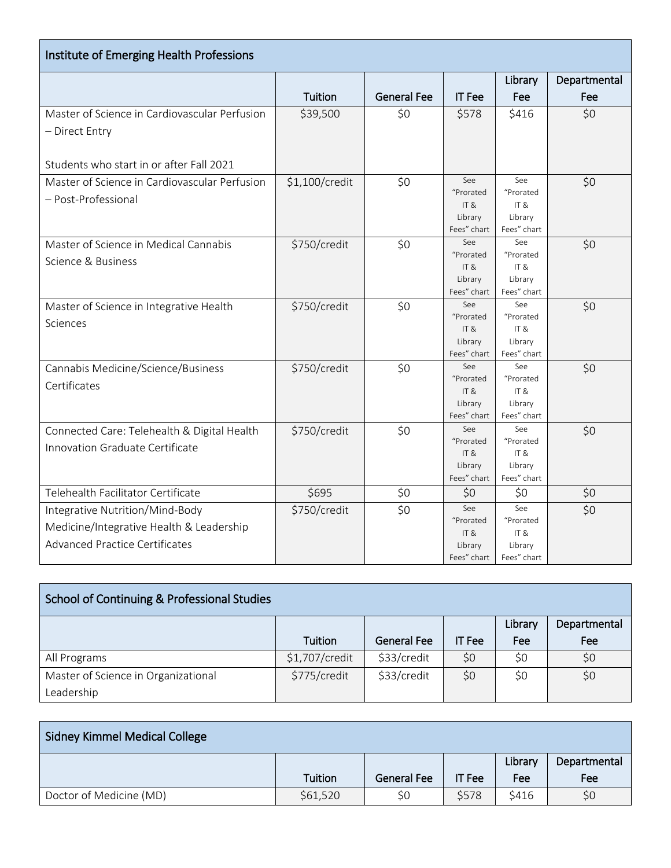| Institute of Emerging Health Professions      |                |                    |                        |                        |              |
|-----------------------------------------------|----------------|--------------------|------------------------|------------------------|--------------|
|                                               |                |                    |                        | Library                | Departmental |
|                                               | Tuition        | <b>General Fee</b> | <b>IT Fee</b>          | Fee                    | Fee          |
| Master of Science in Cardiovascular Perfusion | \$39,500       | \$0                | \$578                  | \$416                  | \$0          |
| - Direct Entry                                |                |                    |                        |                        |              |
|                                               |                |                    |                        |                        |              |
| Students who start in or after Fall 2021      |                |                    |                        |                        |              |
| Master of Science in Cardiovascular Perfusion | \$1,100/credit | \$0                | See                    | See                    | \$0          |
| - Post-Professional                           |                |                    | "Prorated              | "Prorated              |              |
|                                               |                |                    | IT&                    | IT&                    |              |
|                                               |                |                    | Library<br>Fees" chart | Library<br>Fees" chart |              |
| Master of Science in Medical Cannabis         | \$750/credit   | \$0                | See                    | See                    | \$0          |
|                                               |                |                    | "Prorated              | "Prorated              |              |
| Science & Business                            |                |                    | IT&                    | IT&                    |              |
|                                               |                |                    | Library                | Library                |              |
|                                               |                |                    | Fees" chart            | Fees" chart            |              |
| Master of Science in Integrative Health       | \$750/credit   | \$0                | See                    | See                    | \$0          |
| Sciences                                      |                |                    | "Prorated<br>IT&       | "Prorated<br>IT&       |              |
|                                               |                |                    | Library                | Library                |              |
|                                               |                |                    | Fees" chart            | Fees" chart            |              |
| Cannabis Medicine/Science/Business            | \$750/credit   | \$0                | See                    | See                    | \$0          |
| Certificates                                  |                |                    | "Prorated              | "Prorated              |              |
|                                               |                |                    | IT&                    | IT&                    |              |
|                                               |                |                    | Library                | Library                |              |
|                                               |                |                    | Fees" chart<br>See     | Fees" chart<br>See     |              |
| Connected Care: Telehealth & Digital Health   | \$750/credit   | \$0                | "Prorated              | "Prorated              | \$0          |
| Innovation Graduate Certificate               |                |                    | IT&                    | IT&                    |              |
|                                               |                |                    | Library                | Library                |              |
|                                               |                |                    | Fees" chart            | Fees" chart            |              |
| Telehealth Facilitator Certificate            | \$695          | \$0                | \$0                    | \$0                    | \$0          |
| Integrative Nutrition/Mind-Body               | \$750/credit   | \$0                | See                    | See                    | \$0          |
| Medicine/Integrative Health & Leadership      |                |                    | "Prorated              | "Prorated              |              |
| <b>Advanced Practice Certificates</b>         |                |                    | IT&<br>Library         | IT&<br>Library         |              |
|                                               |                |                    | Fees" chart            | Fees" chart            |              |

| School of Continuing & Professional Studies |                |                    |               |         |              |
|---------------------------------------------|----------------|--------------------|---------------|---------|--------------|
|                                             |                |                    |               | Library | Departmental |
|                                             | Tuition        | <b>General Fee</b> | <b>IT</b> Fee | Fee     | Fee          |
| All Programs                                | \$1,707/credit | \$33/credit        | \$0           | \$0     | \$0          |
| Master of Science in Organizational         | \$775/credit   | \$33/credit        | \$0           | \$0     | \$0          |
| Leadership                                  |                |                    |               |         |              |

| <b>Sidney Kimmel Medical College</b> |          |                    |        |         |              |
|--------------------------------------|----------|--------------------|--------|---------|--------------|
|                                      |          |                    |        | Library | Departmental |
|                                      | Tuition  | <b>General Fee</b> | IT Fee | Fee     | Fee          |
| Doctor of Medicine (MD)              | \$61,520 | \$0                | \$578  | \$416   | \$0          |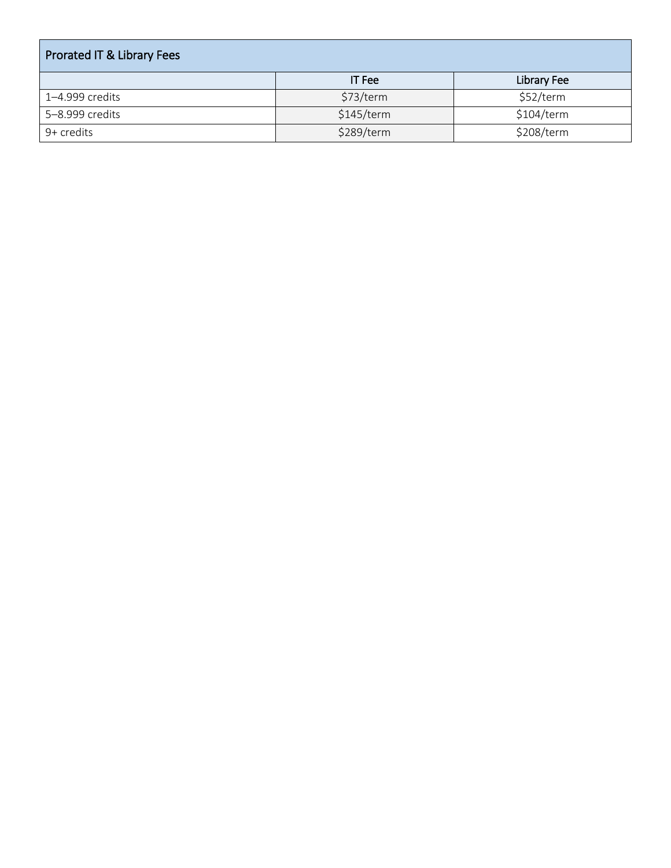| <b>Prorated IT &amp; Library Fees</b> |               |             |  |  |  |  |
|---------------------------------------|---------------|-------------|--|--|--|--|
|                                       | <b>IT</b> Fee | Library Fee |  |  |  |  |
| 1-4.999 credits                       | \$73/term     | \$52/term   |  |  |  |  |
| 5-8.999 credits                       | \$145/term    | \$104/term  |  |  |  |  |
| 9+ credits                            | \$289/term    | \$208/term  |  |  |  |  |